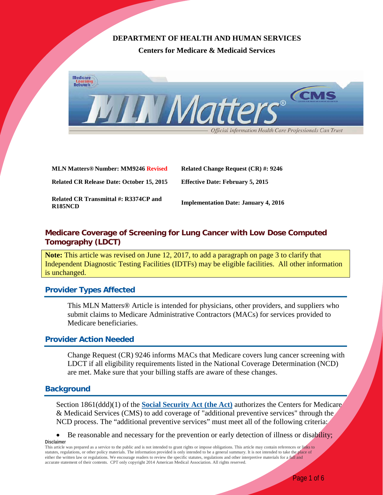# **DEPARTMENT OF HEALTH AND HUMAN SERVICES**

**Centers for Medicare & Medicaid Services**



**MLN Matters® Number: MM9246 Revised Related Change Request (CR) #: 9246 Related CR Release Date: October 15, 2015 Effective Date: February 5, 2015**

**Related CR Transmittal #: R3374CP and Implementation Date: January 4, 2016 R185NCD**

# **Medicare Coverage of Screening for Lung Cancer with Low Dose Computed Tomography (LDCT)**

**Note:** This article was revised on June 12, 2017, to add a paragraph on page 3 to clarify that Independent Diagnostic Testing Facilities (IDTFs) may be eligible facilities. All other information is unchanged.

# **Provider Types Affected**

This MLN Matters® Article is intended for physicians, other providers, and suppliers who submit claims to Medicare Administrative Contractors (MACs) for services provided to Medicare beneficiaries.

# **Provider Action Needed**

Change Request (CR) 9246 informs MACs that Medicare covers lung cancer screening with LDCT if all eligibility requirements listed in the National Coverage Determination (NCD) are met. Make sure that your billing staffs are aware of these changes.

## **Background**

Section 1861(ddd)(1) of the **[Social Security Act \(the Act\)](http://www.socialsecurity.gov/OP_Home/ssact/title18/1861.htm)** authorizes the Centers for Medicare & Medicaid Services (CMS) to add coverage of "additional preventive services" through the NCD process. The "additional preventive services" must meet all of the following criteria:

• Be reasonable and necessary for the prevention or early detection of illness or disability; **Disclaimer**

This article was prepared as a service to the public and is not intended to grant rights or impose obligations. This article may contain references or links to statutes, regulations, or other policy materials. The information provided is only intended to be a general summary. It is not intended to take the place of either the written law or regulations. We encourage readers to review the specific statutes, regulations and other interpretive materials for a full and accurate statement of their contents. CPT only copyright 2014 American Medical Association. All rights reserved.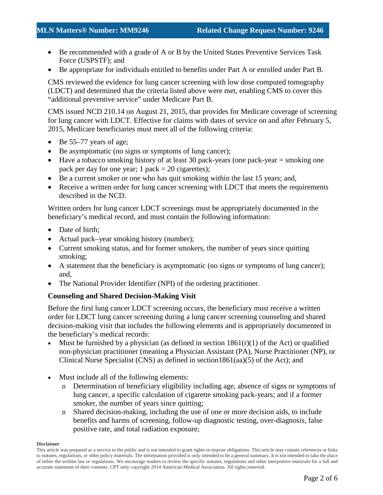- Be recommended with a grade of A or B by the United States Preventive Services Task Force (USPSTF); and
- Be appropriate for individuals entitled to benefits under Part A or enrolled under Part B.

CMS reviewed the evidence for lung cancer screening with low dose computed tomography (LDCT) and determined that the criteria listed above were met, enabling CMS to cover this "additional preventive service" under Medicare Part B.

CMS issued NCD 210.14 on August 21, 2015, that provides for Medicare coverage of screening for lung cancer with LDCT. Effective for claims with dates of service on and after February 5, 2015, Medicare beneficiaries must meet all of the following criteria:

- Be 55–77 years of age;
- Be asymptomatic (no signs or symptoms of lung cancer);
- Have a tobacco smoking history of at least 30 pack-years (one pack-year  $=$  smoking one pack per day for one year;  $1$  pack  $= 20$  cigarettes);
- Be a current smoker or one who has quit smoking within the last 15 years; and,
- Receive a written order for lung cancer screening with LDCT that meets the requirements described in the NCD.

Written orders for lung cancer LDCT screenings must be appropriately documented in the beneficiary's medical record, and must contain the following information:

- Date of birth:
- Actual pack–year smoking history (number);
- Current smoking status, and for former smokers, the number of years since quitting smoking;
- A statement that the beneficiary is asymptomatic (no signs or symptoms of lung cancer); and,
- The National Provider Identifier (NPI) of the ordering practitioner.

#### **Counseling and Shared Decision-Making Visit**

Before the first lung cancer LDCT screening occurs, the beneficiary must receive a written order for LDCT lung cancer screening during a lung cancer screening counseling and shared decision-making visit that includes the following elements and is appropriately documented in the beneficiary's medical records:

- Must be furnished by a physician (as defined in section  $1861(r)(1)$  of the Act) or qualified non-physician practitioner (meaning a Physician Assistant (PA), Nurse Practitioner (NP), or Clinical Nurse Specialist (CNS) as defined in section  $1861(aa)(5)$  of the Act); and
- Must include all of the following elements:
	- o Determination of beneficiary eligibility including age, absence of signs or symptoms of lung cancer, a specific calculation of cigarette smoking pack-years; and if a former smoker, the number of years since quitting;
	- o Shared decision-making, including the use of one or more decision aids, to include benefits and harms of screening, follow-up diagnostic testing, over-diagnosis, false positive rate, and total radiation exposure;

#### **Disclaimer**

This article was prepared as a service to the public and is not intended to grant rights or impose obligations. This article may contain references or links to statutes, regulations, or other policy materials. The information provided is only intended to be a general summary. It is not intended to take the place of either the written law or regulations. We encourage readers to review the specific statutes, regulations and other interpretive materials for a full and accurate statement of their contents. CPT only copyright 2014 American Medical Association. All rights reserved.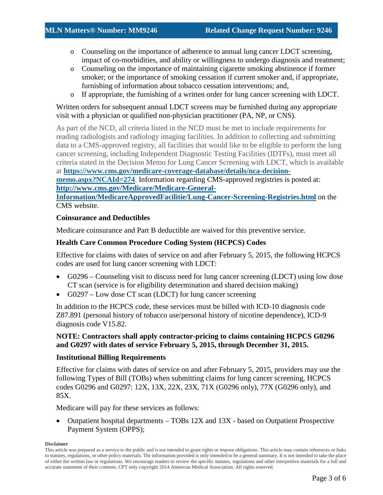- o Counseling on the importance of adherence to annual lung cancer LDCT screening, impact of co-morbidities, and ability or willingness to undergo diagnosis and treatment;
- o Counseling on the importance of maintaining cigarette smoking abstinence if former smoker; or the importance of smoking cessation if current smoker and, if appropriate, furnishing of information about tobacco cessation interventions; and,
- o If appropriate, the furnishing of a written order for lung cancer screening with LDCT.

Written orders for subsequent annual LDCT screens may be furnished during any appropriate visit with a physician or qualified non-physician practitioner (PA, NP, or CNS).

As part of the NCD, all criteria listed in the NCD must be met to include requirements for reading radiologists and radiology imaging facilities. In addition to collecting and submitting data to a CMS-approved registry, all facilities that would like to be eligible to perform the lung cancer screening, including Independent Diagnostic Testing Facilities (IDTFs), must meet all criteria stated in the Decision Memo for Lung Cancer Screening with LDCT, which is available at **[https://www.cms.gov/medicare-coverage-database/details/nca-decision-](https://www.cms.gov/medicare-coverage-database/details/nca-decision-memo.aspx?NCAId=274)**

**[memo.aspx?NCAId=274](https://www.cms.gov/medicare-coverage-database/details/nca-decision-memo.aspx?NCAId=274)**. Information regarding CMS-approved registries is posted at: **[http://www.cms.gov/Medicare/Medicare-General-](http://www.cms.gov/Medicare/Medicare-General-Information/MedicareApprovedFacilitie/Lung-Cancer-Screening-Registries.html)**

**[Information/MedicareApprovedFacilitie/Lung-Cancer-Screening-Registries.html](http://www.cms.gov/Medicare/Medicare-General-Information/MedicareApprovedFacilitie/Lung-Cancer-Screening-Registries.html)** on the CMS website.

### **Coinsurance and Deductibles**

Medicare coinsurance and Part B deductible are waived for this preventive service.

## **Health Care Common Procedure Coding System (HCPCS) Codes**

Effective for claims with dates of service on and after February 5, 2015, the following HCPCS codes are used for lung cancer screening with LDCT:

- G0296 Counseling visit to discuss need for lung cancer screening (LDCT) using low dose CT scan (service is for eligibility determination and shared decision making)
- G0297 Low dose CT scan (LDCT) for lung cancer screening

In addition to the HCPCS code, these services must be billed with ICD-10 diagnosis code Z87.891 (personal history of tobacco use/personal history of nicotine dependence), ICD-9 diagnosis code V15.82.

## **NOTE: Contractors shall apply contractor-pricing to claims containing HCPCS G0296 and G0297 with dates of service February 5, 2015, through December 31, 2015.**

#### **Institutional Billing Requirements**

Effective for claims with dates of service on and after February 5, 2015, providers may use the following Types of Bill (TOBs) when submitting claims for lung cancer screening, HCPCS codes G0296 and G0297: 12X, 13X, 22X, 23X, 71X (G0296 only), 77X (G0296 only), and 85X.

Medicare will pay for these services as follows:

• Outpatient hospital departments – TOBs 12X and 13X - based on Outpatient Prospective Payment System (OPPS);

#### **Disclaimer**

This article was prepared as a service to the public and is not intended to grant rights or impose obligations. This article may contain references or links to statutes, regulations, or other policy materials. The information provided is only intended to be a general summary. It is not intended to take the place of either the written law or regulations. We encourage readers to review the specific statutes, regulations and other interpretive materials for a full and accurate statement of their contents. CPT only copyright 2014 American Medical Association. All rights reserved.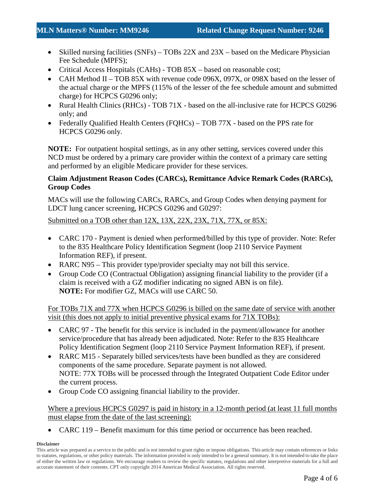- Skilled nursing facilities (SNFs) TOBs 22X and 23X based on the Medicare Physician Fee Schedule (MPFS);
- Critical Access Hospitals (CAHs) TOB 85X based on reasonable cost;
- CAH Method II TOB 85X with revenue code 096X, 097X, or 098X based on the lesser of the actual charge or the MPFS (115% of the lesser of the fee schedule amount and submitted charge) for HCPCS G0296 only;
- Rural Health Clinics (RHCs) TOB 71X based on the all-inclusive rate for HCPCS G0296 only; and
- Federally Qualified Health Centers (FQHCs) TOB 77X based on the PPS rate for HCPCS G0296 only.

**NOTE:** For outpatient hospital settings, as in any other setting, services covered under this NCD must be ordered by a primary care provider within the context of a primary care setting and performed by an eligible Medicare provider for these services.

## **Claim Adjustment Reason Codes (CARCs), Remittance Advice Remark Codes (RARCs), Group Codes**

MACs will use the following CARCs, RARCs, and Group Codes when denying payment for LDCT lung cancer screening, HCPCS G0296 and G0297:

Submitted on a TOB other than 12X, 13X, 22X, 23X, 71X, 77X, or 85X:

- CARC 170 Payment is denied when performed/billed by this type of provider. Note: Refer to the 835 Healthcare Policy Identification Segment (loop 2110 Service Payment Information REF), if present.
- RARC N95 This provider type/provider specialty may not bill this service.
- Group Code CO (Contractual Obligation) assigning financial liability to the provider (if a claim is received with a GZ modifier indicating no signed ABN is on file). **NOTE:** For modifier GZ, MACs will use CARC 50.

For TOBs 71X and 77X when HCPCS G0296 is billed on the same date of service with another visit (this does not apply to initial preventive physical exams for 71X TOBs):

- CARC 97 The benefit for this service is included in the payment/allowance for another service/procedure that has already been adjudicated. Note: Refer to the 835 Healthcare Policy Identification Segment (loop 2110 Service Payment Information REF), if present.
- RARC M15 Separately billed services/tests have been bundled as they are considered components of the same procedure. Separate payment is not allowed. NOTE: 77X TOBs will be processed through the Integrated Outpatient Code Editor under the current process.
- Group Code CO assigning financial liability to the provider.

Where a previous HCPCS G0297 is paid in history in a 12-month period (at least 11 full months must elapse from the date of the last screening):

• CARC 119 – Benefit maximum for this time period or occurrence has been reached.

#### **Disclaimer**

This article was prepared as a service to the public and is not intended to grant rights or impose obligations. This article may contain references or links to statutes, regulations, or other policy materials. The information provided is only intended to be a general summary. It is not intended to take the place of either the written law or regulations. We encourage readers to review the specific statutes, regulations and other interpretive materials for a full and accurate statement of their contents. CPT only copyright 2014 American Medical Association. All rights reserved.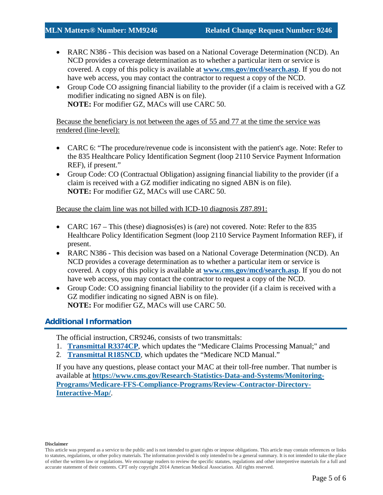- RARC N386 This decision was based on a National Coverage Determination (NCD). An NCD provides a coverage determination as to whether a particular item or service is covered. A copy of this policy is available at **[www.cms.gov/mcd/search.asp](http://www.cms.gov/mcd/search.asp)**. If you do not have web access, you may contact the contractor to request a copy of the NCD.
- Group Code CO assigning financial liability to the provider (if a claim is received with a GZ modifier indicating no signed ABN is on file). **NOTE:** For modifier GZ, MACs will use CARC 50.

Because the beneficiary is not between the ages of 55 and 77 at the time the service was rendered (line-level):

- CARC 6: "The procedure/revenue code is inconsistent with the patient's age. Note: Refer to the 835 Healthcare Policy Identification Segment (loop 2110 Service Payment Information REF), if present."
- Group Code: CO (Contractual Obligation) assigning financial liability to the provider (if a claim is received with a GZ modifier indicating no signed ABN is on file). **NOTE:** For modifier GZ, MACs will use CARC 50.

Because the claim line was not billed with ICD-10 diagnosis Z87.891:

- CARC 167 This (these) diagnosis(es) is (are) not covered. Note: Refer to the 835 Healthcare Policy Identification Segment (loop 2110 Service Payment Information REF), if present.
- RARC N386 This decision was based on a National Coverage Determination (NCD). An NCD provides a coverage determination as to whether a particular item or service is covered. A copy of this policy is available at **[www.cms.gov/mcd/search.asp](http://www.cms.gov/mcd/search.asp)**. If you do not have web access, you may contact the contractor to request a copy of the NCD.
- Group Code: CO assigning financial liability to the provider (if a claim is received with a GZ modifier indicating no signed ABN is on file). **NOTE:** For modifier GZ, MACs will use CARC 50.

# **Additional Information**

The official instruction, CR9246, consists of two transmittals:

- 1. **[Transmittal R3374CP](https://www.cms.gov/Regulations-and-Guidance/Guidance/Transmittals/Downloads/R3374CP.pdf)**, which updates the "Medicare Claims Processing Manual;" and
- 2. **[Transmittal R185NCD](https://www.cms.gov/Regulations-and-Guidance/Guidance/Transmittals/Downloads/R185NCD.pdf)**, which updates the "Medicare NCD Manual."

If you have any questions, please contact your MAC at their toll-free number. That number is available at **[https://www.cms.gov/Research-Statistics-Data-and-Systems/Monitoring-](https://www.cms.gov/Research-Statistics-Data-and-Systems/Monitoring-Programs/Medicare-FFS-Compliance-Programs/Review-Contractor-Directory-Interactive-Map/)[Programs/Medicare-FFS-Compliance-Programs/Review-Contractor-Directory-](https://www.cms.gov/Research-Statistics-Data-and-Systems/Monitoring-Programs/Medicare-FFS-Compliance-Programs/Review-Contractor-Directory-Interactive-Map/)[Interactive-Map/](https://www.cms.gov/Research-Statistics-Data-and-Systems/Monitoring-Programs/Medicare-FFS-Compliance-Programs/Review-Contractor-Directory-Interactive-Map/)**.

#### **Disclaimer**

This article was prepared as a service to the public and is not intended to grant rights or impose obligations. This article may contain references or links to statutes, regulations, or other policy materials. The information provided is only intended to be a general summary. It is not intended to take the place of either the written law or regulations. We encourage readers to review the specific statutes, regulations and other interpretive materials for a full and accurate statement of their contents. CPT only copyright 2014 American Medical Association. All rights reserved.